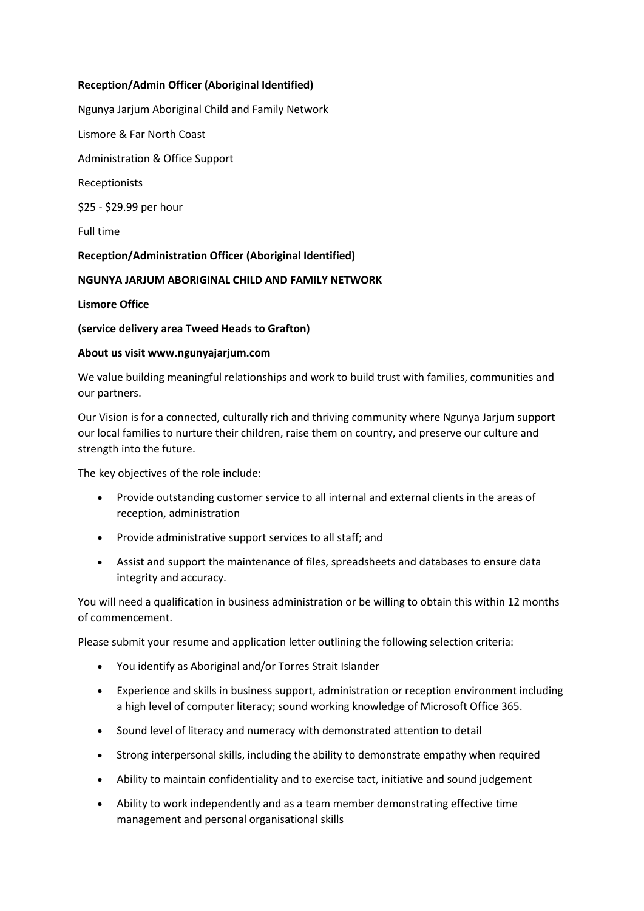# **Reception/Admin Officer (Aboriginal Identified)**

Ngunya Jarjum Aboriginal Child and Family Network

Lismore & Far North Coast

Administration & Office Support

Receptionists

\$25 - \$29.99 per hour

Full time

# **Reception/Administration Officer (Aboriginal Identified)**

# **NGUNYA JARJUM ABORIGINAL CHILD AND FAMILY NETWORK**

### **Lismore Office**

# **(service delivery area Tweed Heads to Grafton)**

### **About us visit www.ngunyajarjum.com**

We value building meaningful relationships and work to build trust with families, communities and our partners.

Our Vision is for a connected, culturally rich and thriving community where Ngunya Jarjum support our local families to nurture their children, raise them on country, and preserve our culture and strength into the future.

The key objectives of the role include:

- Provide outstanding customer service to all internal and external clients in the areas of reception, administration
- Provide administrative support services to all staff; and
- Assist and support the maintenance of files, spreadsheets and databases to ensure data integrity and accuracy.

You will need a qualification in business administration or be willing to obtain this within 12 months of commencement.

Please submit your resume and application letter outlining the following selection criteria:

- You identify as Aboriginal and/or Torres Strait Islander
- Experience and skills in business support, administration or reception environment including a high level of computer literacy; sound working knowledge of Microsoft Office 365.
- Sound level of literacy and numeracy with demonstrated attention to detail
- Strong interpersonal skills, including the ability to demonstrate empathy when required
- Ability to maintain confidentiality and to exercise tact, initiative and sound judgement
- Ability to work independently and as a team member demonstrating effective time management and personal organisational skills